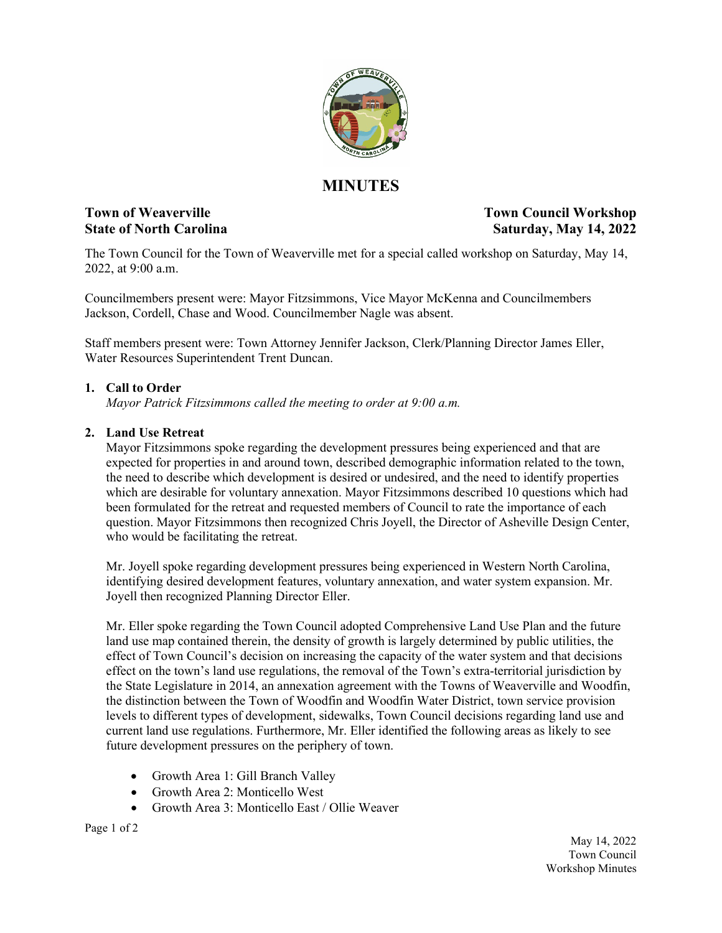

# **MINUTES**

**Town of Weaverville**  Town Council Workshop **State of North Carolina Saturday, May 14, 2022**

The Town Council for the Town of Weaverville met for a special called workshop on Saturday, May 14, 2022, at 9:00 a.m.

Councilmembers present were: Mayor Fitzsimmons, Vice Mayor McKenna and Councilmembers Jackson, Cordell, Chase and Wood. Councilmember Nagle was absent.

Staff members present were: Town Attorney Jennifer Jackson, Clerk/Planning Director James Eller, Water Resources Superintendent Trent Duncan.

### **1. Call to Order**

*Mayor Patrick Fitzsimmons called the meeting to order at 9:00 a.m.*

## **2. Land Use Retreat**

Mayor Fitzsimmons spoke regarding the development pressures being experienced and that are expected for properties in and around town, described demographic information related to the town, the need to describe which development is desired or undesired, and the need to identify properties which are desirable for voluntary annexation. Mayor Fitzsimmons described 10 questions which had been formulated for the retreat and requested members of Council to rate the importance of each question. Mayor Fitzsimmons then recognized Chris Joyell, the Director of Asheville Design Center, who would be facilitating the retreat.

Mr. Joyell spoke regarding development pressures being experienced in Western North Carolina, identifying desired development features, voluntary annexation, and water system expansion. Mr. Joyell then recognized Planning Director Eller.

Mr. Eller spoke regarding the Town Council adopted Comprehensive Land Use Plan and the future land use map contained therein, the density of growth is largely determined by public utilities, the effect of Town Council's decision on increasing the capacity of the water system and that decisions effect on the town's land use regulations, the removal of the Town's extra-territorial jurisdiction by the State Legislature in 2014, an annexation agreement with the Towns of Weaverville and Woodfin, the distinction between the Town of Woodfin and Woodfin Water District, town service provision levels to different types of development, sidewalks, Town Council decisions regarding land use and current land use regulations. Furthermore, Mr. Eller identified the following areas as likely to see future development pressures on the periphery of town.

- Growth Area 1: Gill Branch Valley
- Growth Area 2: Monticello West
- Growth Area 3: Monticello East / Ollie Weaver

Page 1 of 2

May 14, 2022 Town Council Workshop Minutes